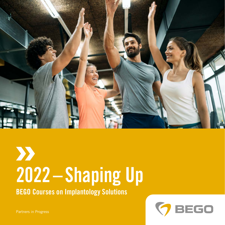

# $\sum$ 2022–Shaping Up

BEGO Courses on Implantology Solutions



Partners in Progress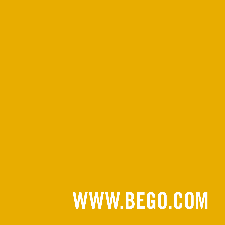# WWW.BEGO.COM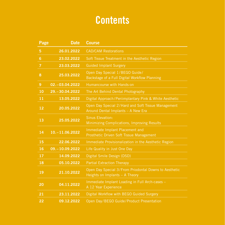# **Contents**

| Page           | <b>Date</b>      | <b>Course</b>                                                                            |
|----------------|------------------|------------------------------------------------------------------------------------------|
| 5              | 26.01.2022       | <b>CAD/CAM Restorations</b>                                                              |
| 6              | 23.02.2022       | Soft Tissue Treatment in the Aesthetic Region                                            |
| $\overline{7}$ | 23.03.2022       | <b>Guided Implant Surgery</b>                                                            |
| 8              | 25.03.2022       | Open Day Special 1/BEGO Guide/<br>Backstage of a Full Digital Workflow Planning          |
| $\overline{9}$ | 02. - 03.04.2022 | Humancourse with Hands-on                                                                |
| 10             | 29. - 30.04.2022 | The Art Behind Dental Photography                                                        |
| 11             | 13.05.2022       | Digital Approach/Periimplantary Pink & White Aesthetic                                   |
| 12             | 20.05.2022       | Open Day Special 2/Hard and Soft Tissue Management<br>Around Dental Implants - A New Era |
| 13             | 25.05.2022       | <b>Sinus Elevation:</b><br>Minimizing Complications, Improving Results                   |
| 14             | 10. - 11.06.2022 | Immediate Implant Placement and<br>Prosthetic Driven Soft Tissue Management              |
| 15             | 22.06.2022       | Immediate Provisionalization in the Aesthetic Region                                     |
| 16             | 09. - 10.09.2022 | Life Quality in Just One Day                                                             |
| 17             | 14.09.2022       | Digital Smile Design (DSD)                                                               |
| 18             | 05.10.2022       | <b>Partial Extraction Therapy</b>                                                        |
| 19             | 21.10.2022       | Open Day Special 3/From Priodontal Downs to Aesthetic<br>Heights on Implants - A Theory  |
| 20             | 04.11.2022       | Immediate Implant Loading in Full Arch-cases -<br>A 12 Year Experience                   |
| 21             | 23.11.2022       | Digital Workflow with BEGO Guided Surgery                                                |
| 22             | 09.12.2022       | Open Day/BEGO Guide/Product Presentation                                                 |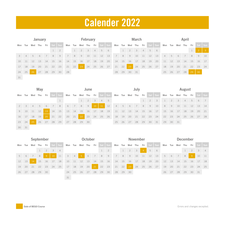# Calender 2022

| <b>February</b><br><b>January</b> |                |     |             |    |         |    | <b>March</b> |    |                 |       |       |      |         |                | April |                 |             |                |    |         |                |       |                 |    |       |      |         |
|-----------------------------------|----------------|-----|-------------|----|---------|----|--------------|----|-----------------|-------|-------|------|---------|----------------|-------|-----------------|-------------|----------------|----|---------|----------------|-------|-----------------|----|-------|------|---------|
| Mon                               | Tue            |     | Wed Thu Fri |    | Sat Sun |    |              |    | Mon Tue Wed Thu |       | Fri   |      | Sat Sun |                |       | Mon Tue Wed Thu |             | Fri            |    | Sat Sun |                |       | Mon Tue Wed Thu |    | Fri   |      | Sat Sun |
|                                   |                |     |             |    |         | 2  |              |    | $2 \quad 3$     |       | $-4$  | $-5$ | 6       |                |       |                 | $2 \quad 3$ | $\overline{4}$ |    | 5 6     |                |       |                 |    |       | -2   | $-3$    |
| $\mathcal{R}$                     | $\overline{4}$ | 5 6 |             | 7  | 8       | 9  | 7            | 8  | 9               | $-10$ | $-11$ | 12   | 13      | $\overline{7}$ | 8     | 9               | 10          | 11             | 12 | 13      | $\overline{4}$ | 5     | $-6$            | 7  | 8     | 9    | 10      |
| $10^{-}$                          | $-11$          | 12  | 13          | 14 | $-15$   | 16 | 14 15        |    | 16              | 17    | 18    | 19   | 20      | 14             | 15    | 16              | 17          | 18             | 19 | 20      | - 11 -         | $-12$ | 13              | 14 | $-15$ | - 16 | 17      |
| 17                                | 18             | 19  | 20          | 21 | 22      | 23 | 21           | 22 | 23              | 24    | 25    | 26   | 27      | 21             | 22    | 23              | 24          | 25             | 26 | 27      | 18             | 19    | 20              | 21 | 22 23 |      | 24      |
| 24                                | 25             | 26  | 27          | 28 | 29      | 30 | 28           |    |                 |       |       |      |         | 28             | 29 30 |                 | 31          |                |    |         | 25             | 26 27 |                 | 28 | 29    | 30   |         |
| 31                                |                |     |             |    |         |    |              |    |                 |       |       |      |         |                |       |                 |             |                |    |         |                |       |                 |    |       |      |         |

| May     |             |                |                |       |       |         | June     |    |                     |                |                |          |         | July                 |       |    |        | August |                |                             |                     |          |             |                |    |         |      |
|---------|-------------|----------------|----------------|-------|-------|---------|----------|----|---------------------|----------------|----------------|----------|---------|----------------------|-------|----|--------|--------|----------------|-----------------------------|---------------------|----------|-------------|----------------|----|---------|------|
| Mon Tue |             |                | Wed Thu Fri    |       |       | Sat Sun |          |    | Mon Tue Wed Thu Fri |                |                |          | Sat Sun |                      |       |    |        |        |                | Mon Tue Wed Thu Fri Sat Sun | Mon Tue Wed Thu Fri |          |             |                |    | Sat Sun |      |
|         |             |                |                |       |       |         |          |    |                     | $\overline{2}$ | 3 <sup>3</sup> | 4 5      |         |                      |       |    |        |        | $\overline{2}$ | $-1$ 3                      | $\frac{1}{2}$       |          | $2 \quad 3$ | $\overline{4}$ |    | 5 6 7   |      |
|         | $2 \quad 3$ | $\overline{4}$ | 5 <sub>2</sub> | $-6$  | $-7$  | 8       | 6        | 7  | 8                   | 9              | $10-10$        | 11       | 12      | 4                    |       |    | 5 6 7  | 8      | $-19$          | 10                          | 8                   | 9        | 10          | 11             | 12 | 13      | 14   |
| 9       | 10          | $11 \t 12$     |                | $-13$ | 14 15 |         | 13 14 15 |    |                     | 16             | 17             | 18       | 19      | 11 12 13 14 15 16 17 |       |    |        |        |                |                             | 15 16 17            |          |             | 18             | 19 | 20      | 21   |
| 16      | $-17$       | 18             | 19             | 20    | 21    | 22      | 20       | 21 | -22                 | 23             |                | 24 25 26 |         | 18                   | 19    | 20 | $-121$ | 22 23  |                | 24                          | 22                  | 23       | 24          | 25             |    | 26 27   | - 28 |
| 23 24   |             | -25            | 26             | 27    | 28 29 |         | 27       | 28 | 29 30               |                |                |          |         | 25                   | 26 27 |    | 28     | 29     | 30             | 31                          |                     | 29 30 31 |             |                |    |         |      |
| 30 31   |             |                |                |       |       |         |          |    |                     |                |                |          |         |                      |       |    |        |        |                |                             |                     |          |             |                |    |         |      |

| September |    |     |     |                | October                 |                |    |                |         | <b>November</b> |      |    |             |    |    |                 | <b>December</b>         |                |    |             |       |     |             |     |       |             |                |
|-----------|----|-----|-----|----------------|-------------------------|----------------|----|----------------|---------|-----------------|------|----|-------------|----|----|-----------------|-------------------------|----------------|----|-------------|-------|-----|-------------|-----|-------|-------------|----------------|
| Mon Tue   |    | Wed | Thu | Fri            |                         | Sat Sun        |    | Mon Tue        | Wed Thu |                 | Fri  |    | Sat Sun     |    |    | Mon Tue Wed Thu |                         | Fri            |    | Sat Sun     | Mon   | Tue | Wed         | Thu | Fri   | Sat Sun     |                |
|           |    |     |     | $\overline{2}$ | $\overline{\mathbf{3}}$ | $\overline{4}$ |    |                |         |                 |      |    | $1 \quad 2$ |    |    | $\overline{2}$  | $\overline{\mathbf{3}}$ | $\overline{4}$ |    | $5 \quad 6$ |       |     |             |     |       | $2 \quad 3$ | $\overline{4}$ |
| $5 -$     | 6  |     | 8   | -9             | 10                      | 11             | 3  | $\overline{4}$ | -5      | 6               | $-7$ | 8  | 9           | 7  | 8  | 9               | 10                      | 11             | 12 | 13          | 5     | 6   | $7^{\circ}$ | 8   | -9    | 10          | 11             |
| 12 13     |    | 14  | 15  | 16             | 17                      | 18             | 10 | -11            | 12      | 13              | 14   | 15 | 16          | 14 | 15 | 16              | 17                      | 18             | 19 | 20          | $-12$ | 13  | 14          | 15  | 16    | 17          | 18             |
| 19        | 20 | 21  | 22  | 23             | 24                      | 25             | 17 | 18             | 19      | 20              | 21   | 22 | 23          | 21 | 22 | 23              | 24                      | 25             | 26 | 27          | 19    | 20  | 21          | 22  | 23    | 24          | 25             |
| 26        | 27 | 28  | 29  | 30             |                         |                | 24 | 25             | 26      | 27              | 28   | 29 | 30          | 28 | 29 | 30              |                         |                |    |             | 26    | 27  | 28          | 29  | 30 31 |             |                |
|           |    |     |     |                |                         |                | 31 |                |         |                 |      |    |             |    |    |                 |                         |                |    |             |       |     |             |     |       |             |                |

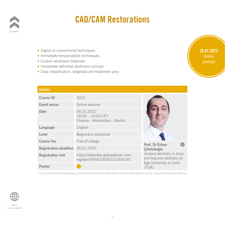

#### <span id="page-4-0"></span>CAD/CAM Restorations

- Digital vs conventional techniques
- Immediate temporization techniques **Internal and techniques**<br>**Internal and internal and internal continuous**<br>**Internals**
- Custom abutment materials
- Immediate definitive abutment concept
- Case classification, diagnosis and treatment plan cept<br>reatment plan<br>————————————————————

#### **Details**

| <b>Details</b>                   |                                                                    |                                                                                   |
|----------------------------------|--------------------------------------------------------------------|-----------------------------------------------------------------------------------|
| <b>Course ID</b>                 | 2201                                                               |                                                                                   |
| Event venue                      | Online seminar                                                     |                                                                                   |
| <b>Date</b>                      | 26.01.2022<br>$18:00 - 19:00$ CET<br>(Vienna – Amsterdam – Berlin) |                                                                                   |
| Language                         | English                                                            |                                                                                   |
| Level                            | Beginners/advanced                                                 |                                                                                   |
| <b>Course fee</b>                | Free of charge                                                     | Prof. Dr Erhan                                                                    |
| Registration deadline 26.01.2022 |                                                                    | Çömlekoğlu                                                                        |
| <b>Registration link</b>         | https://attendee.gotowebinar.com/<br>register/945632095221304335   | studied dentistry in Izmir<br>and teaches dentistry at<br>Ege University in Izmir |
| Points*                          |                                                                    | $(TUR)$ .                                                                         |

\* In accordance with the guidelines of the German Dental Association (BZÄK)/German Association for Dental, Oral and Maxillofacial Medicine



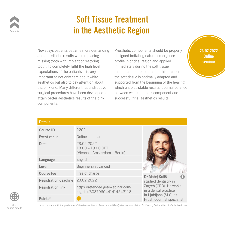

### <span id="page-5-0"></span>Soft Tissue Treatment in the Aesthetic Region

Nowadays patients became more demanding about aesthetic results when replacing missing tooth with implant or restoring tooth. To completely fulfil the high level expectations of the patients it is very important to not only care about white aesthetics but also to pay attention about the pink one. Many different reconstructive surgical procedures have been developed to attain better aesthetics results of the pink components. Bructive willch enab<br>
eloped to between whe<br>
he pink successful

Prosthetic components should be properly designed imitating natural emergence profile in critical region and applied immediately during the soft tissue manipulation procedures. In this manner, the soft tissue is optimally adapted and supported from the beginning of the healing, which enables stable results, optimal balance between white and pink component and successful final aesthetics results. ame more demanding Prosthetic components sh<br>when replacing designed imitating natural<br>ant or restaring provide in exitial region and rel immedia<br>
manipula<br>
e the soft t<br>
<u>supporte</u><br>
<u>supporte</u>



| <b>Details</b>                   |                                                                    |                                                     |
|----------------------------------|--------------------------------------------------------------------|-----------------------------------------------------|
| <b>Course ID</b>                 | 2202                                                               |                                                     |
| Event venue                      | Online seminar                                                     |                                                     |
| <b>Date</b>                      | 23.02.2022<br>$18:00 - 19:00$ CET<br>(Vienna – Amsterdam – Berlin) |                                                     |
| Language                         | English                                                            |                                                     |
| Level                            | Beginners/advanced                                                 |                                                     |
| <b>Course fee</b>                | Free of charge                                                     |                                                     |
| Registration deadline 23.02.2022 |                                                                    | Dr Matej Kuliš<br>studied dentistry in              |
| <b>Registration link</b>         | https://attendee.gotowebinar.com/<br>register/3037060441414543118  | Zagreb (CRO). He works<br>in a dental practice      |
| Points*                          |                                                                    | in Ljubljana (SLO) as<br>Prosthodontist specialist. |





More course details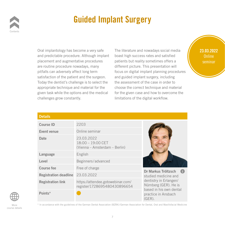

### <span id="page-6-0"></span>Guided Implant Surgery

Oral implantology has become a very safe and predictable procedure. Although implant placement and augmentative procedures are routine procedure nowadays, many pitfalls can adversely affect long term satisfaction of the patient and the surgeon. Today the dentist's challenge is to select the appropriate technique and material for the given task while the options and the medical challenges grow constantly. **Example 100 concrete**<br> **CONCRETE**<br> **CONCRETE**<br> **CONCRETE**<br> **CONCRETE**<br> **CONCRETE**<br> **CONCRETE**<br> **CONCRETE** 

The literature and nowadays social media boast high success rates and satisfied patients but reality sometimes offers a different picture. This presentation will focus on digital implant planning procedures and guided implant surgery, including the assessment of the case in order to choose the correct technique and material for the given case and how to overcome the limitations of the digital workflow. **INTERNAL SECTEMBER 1999**<br> **INTERNATE SECTEMBER 1999**<br> **INTERNATE SECTEMBER 1999**<br> **INTERNATE SECTEMBER 1999**<br> **INTERNATE SECTEMBER 1999**<br> **INTERNATE SECTEMBER 1999** y different<br>
focus on<br>
geon. and guid<br>
ect the the asses



#### **Details**

| <b>Course ID</b>                 | 2203                                                               |                                                                            |
|----------------------------------|--------------------------------------------------------------------|----------------------------------------------------------------------------|
| Event venue                      | Online seminar                                                     |                                                                            |
| Date                             | 23.03.2022<br>$18:00 - 19:00$ CET<br>(Vienna – Amsterdam – Berlin) |                                                                            |
| Language                         | English                                                            |                                                                            |
| Level                            | Beginners/advanced                                                 |                                                                            |
| <b>Course fee</b>                | Free of charge                                                     | Dr Markus Tröltzsch                                                        |
| Registration deadline 23.03.2022 |                                                                    | studied medicine and                                                       |
| <b>Registration link</b>         | https://attendee.gotowebinar.com/<br>register/1728695480430896654  | dentistry in Erlangen/<br>Nürnberg (GER). He is<br>based in his own dental |
| Points*                          |                                                                    | practice in Ansbach<br>$(GER)$ .                                           |



More course details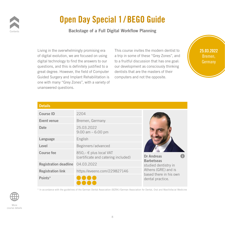

### Open Day Special 1 / BEGO Guide

#### <span id="page-7-0"></span>Backstage of a Full Digital Workflow Planning

Living in the overwhelmingly promising era of digital evolution, we are focused on using digital technology to find the answers to our questions, and this is definitely justified to a great degree. However, the field of Computer Guided Surgery and Implant Rehabilitation is one with many "Grey Zones", with a variety of unanswered questions. ed to a our devel<br>
mputer dentists<br>
tation is compute<br>
ariety of

This course invites the modern dentist to a trip in some of these "Grey Zones", and to a fruitful discussion that has one goal: our development as consciously thinking dentists that are the masters of their computers and not the opposite. Ingly promising era<br>**INTERNAT This course invites the mome of these "Grad the appropriate our the a fruitful discussion the** 

# 25.03.2022 Bremen, Germany

| unanswereu yuestions.        |                                                               |                                               |
|------------------------------|---------------------------------------------------------------|-----------------------------------------------|
| <b>Details</b>               |                                                               |                                               |
| <b>Course ID</b>             | 2204                                                          |                                               |
| Event venue                  | Bremen, Germany                                               |                                               |
| Date                         | 25.03.2022<br>$9:00$ am $-6:00$ pm                            |                                               |
| Language                     | English                                                       |                                               |
| Level                        | Beginners/advanced                                            |                                               |
| <b>Course fee</b>            | 850,- € plus local VAT<br>(certificate and catering included) | <b>Dr Andreas</b>                             |
| <b>Registration deadline</b> | 04.03.2022                                                    | <b>Barbetseas</b><br>studied dentistry in     |
| <b>Registration link</b>     | https://eveeno.com/229827146                                  | Athens (GRE) and is<br>based there in his own |
| Points*                      |                                                               | dental practice.                              |

\* In accordance with the guidelines of the German Dental Association (BZÄK)/German Association for Dental, Oral and Maxillofacial Medicine

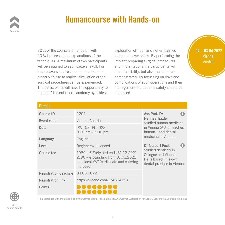

#### <span id="page-8-0"></span>Humancourse with Hands-on

80% of the course are hands-on with 20% lectures about explanations of the techniques. A maximum of two participants will be assigned to each cadaver skull. For the cadavers are fresh and not embalmed a nearly "close to reality" simulation of the surgical procedures can be experienced. The participants will have the opportunity to "update" the entire oral anatomy by riskless

exploration of fresh and not embalmed human cadaver skulls. By performing the implant preparing surgical procedures and implantations the participants will learn feasibility, but also the limits are demonstrated. By focussing on risks and complications of such operations and their management the patients safety should be increased. hands-on with<br>
planations of the **Internal Property Constant**<br> **INTERNAL PROPERTY ASSESS**<br> **INTERNAL PROPERTY PROPERTY ASSESS** For and impl.<br> **ISCOM**<br> **EXECUTE:**<br> **EXECUTE:**<br> **EXECUTE:**<br> **EXECUTE:**<br> **EXECUTE:**<br> **EXECUTE:**<br> **EXECUTE:**<br> **EXECUTE:**<br> **EXECUTE:** 



| Fire participatits will have the upportunity to<br>'update" the entire oral anatomy by riskless | increased.                                                                                                                         | Trianagement the patients safety should be                                                         |
|-------------------------------------------------------------------------------------------------|------------------------------------------------------------------------------------------------------------------------------------|----------------------------------------------------------------------------------------------------|
| <b>Details</b>                                                                                  |                                                                                                                                    |                                                                                                    |
| <b>Course ID</b>                                                                                | 2205                                                                                                                               | Ass Prof. Dr                                                                                       |
| Event venue                                                                                     | Vienna, Austria                                                                                                                    | <b>Hannes Traxler</b><br>studied human medicine                                                    |
| Date                                                                                            | 02. - 03.04.2022<br>$9:00$ am $-5:00$ pm                                                                                           | in Vienna (AUT), teaches<br>human - and dental                                                     |
| Language                                                                                        | English                                                                                                                            | medicine in Vienna.                                                                                |
| Level                                                                                           | Beginners/advanced                                                                                                                 | <b>Dr Norbert Fock</b>                                                                             |
| <b>Course fee</b>                                                                               | 1980,- € Early bird ends 31.12.2021<br>2190, - € Standard from 01.01.2022<br>plus local VAT (certificate and catering<br>included) | studied dentistry in<br>Cologne and Vienna.<br>He is based in is own<br>dental practice in Vienna. |
| <b>Registration deadline</b>                                                                    | 04.03.2022                                                                                                                         |                                                                                                    |
| <b>Registration link</b>                                                                        | https://eveeno.com/174864158                                                                                                       |                                                                                                    |
| Points*                                                                                         |                                                                                                                                    |                                                                                                    |

\* In accordance with the guidelines of the German Dental Association (BZÄK)/German Association for Dental, Oral and Maxillofacial Medicine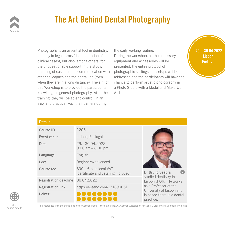

## <span id="page-9-0"></span>The Art Behind Dental Photography

Photography is an essential tool in dentistry, not only in legal terms (documentation of clinical cases), but also, among others, for the unquestionable support in the study, planning of cases, in the communication with other colleagues and the dental lab (even when they are in a long distance). The aim of this Workshop is to provide the participants knowledge in general photography. After the training, they will be able to control, in an easy and practical way, their camera during **CONCORREGIST A FINDLO STATE:**<br>
After the Artist.<br> **CONCORREGIST:**<br> **CONCORREGIST:** 

the daily working routine. During the workshop, all the necessary equipment and accessories will be presented, the entire protocol of photographic settings and setups will be addressed and the participants will have the chance to perform artistic photography in a Photo Studio with a Model and Make-Up Artist. Intial tool in dentistry, the daily working routine.<br> **INTERNATION** Ouring the workshop, all the among others for a continuent and according dy, presenter<br>
ion with photogra<br>
ven addresse<br> **Passent property**<br> **Passent property**<br> **Passent property** 

practice.



| <b>Details</b>                   |                                                               |                                                   |
|----------------------------------|---------------------------------------------------------------|---------------------------------------------------|
| <b>Course ID</b>                 | 2206                                                          |                                                   |
| Event venue                      | Lisbon, Portugal                                              |                                                   |
| Date                             | 29. - 30.04.2022<br>$9:00$ am $-6:00$ pm                      |                                                   |
| Language                         | English                                                       |                                                   |
| Level                            | Beginners/advanced                                            |                                                   |
| <b>Course fee</b>                | 890,- € plus local VAT<br>(certificate and catering included) | Dr Bruno Seabra                                   |
| Registration deadline 08.04.2022 |                                                               | studied dentistry in<br>Lisbon (POR). He works    |
| <b>Registration link</b>         | https://eveeno.com/171699051                                  | as a Professor at the<br>University of Lisbon and |
| Points*                          |                                                               | is based there in a dental                        |



More course details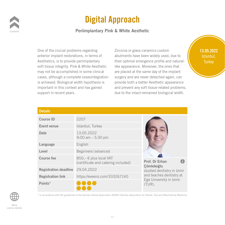

### <span id="page-10-0"></span>Digital Approach

#### Periimplantary Pink & White Aesthetic

One of the crucial problems regarding anterior implant restorations, in terms of Aesthetics, is to provide periimplantary soft tissue integrity. Pink & White Aesthetic may not be accomplished in some clinical cases, although a complete osseointegration is achieved. Biological width hypothesis is important in this context and has gained support in recent years. anied and prevent<br>due to the i

Zirconia or glass-ceramics custom abutments have been widely used, due to their optimal emergence profile and naturallike appearance. Moreover, the ones that are placed at the same day of the implant surgery and are never detached again, can provide both a better Aesthetic appearance and prevent any soft tissue related problems, due to the intact-remained biological width. **INTERNAL EXECUTE:**<br> **INTERNATION**<br> **INTERNATION EXECUTE:**<br> **INDERNATELY**<br> **INDERNATELY**<br> **INDERNATELY**<br> **INDERNATELY**<br> **INDERNATELY**<br> **INDERNATELY** thetic like appe<br>
ical are place<br>
gration surgery a<br>
sis is provide b

#### 13.05.2022 Istanbul, **Turkey**

| <b>Details</b>                   |                                                               |                                          |
|----------------------------------|---------------------------------------------------------------|------------------------------------------|
| <b>Course ID</b>                 | 2207                                                          |                                          |
| Event venue                      | Istanbul, Turkey                                              |                                          |
| <b>Date</b>                      | 13.05.2022<br>$9:00$ am $-5:30$ pm                            |                                          |
| Language                         | English                                                       |                                          |
| Level                            | Beginners/advanced                                            |                                          |
| <b>Course fee</b>                | 850,- € plus local VAT<br>(certificate and catering included) | Prof. Dr Erhan                           |
| Registration deadline 29.04.2022 |                                                               | Çömlekoğlu<br>studied dentistry in Izmir |
| <b>Registration link</b>         | https://eveeno.com/333267140                                  | and teaches dentistry at                 |
| Points*                          |                                                               | Ege University in Izmir<br>(TUR).        |



More course details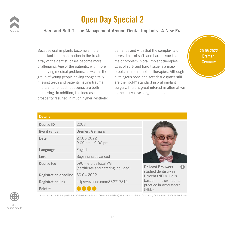

### <span id="page-11-0"></span>Open Day Special 2

#### Hard and Soft Tissue Management Around Dental Implants–A New Era

Because oral implants become a more important treatment option in the treatment array of the dentist, cases become more challenging. Age of the patients, with more underlying medical problems, as well as the group of young people having congenitally missing teeth and patients having trauma in the anterior aesthetic zone, are both increasing. In addition, the increase in prosperity resulted in much higher aesthetic **Surgery**, the<br>
e in to these inv<br>
aesthetic

demands and with that the complexity of cases. Loss of soft- and hard tissue is a major problem in oral implant therapies. Loss of soft- and hard tissue is a major problem in oral implant therapies. Although autologous bone and soft tissue grafts still are the "gold" standard in oral implant surgery, there is great interest in alternatives to these invasive surgical procedures. **INTERNAL EXECUTE:**<br> **INTERNAT EXECUTE:**<br> **INTERNATE CASES.** Loss of soft- and have become more major problem in eral implement more Loss of s<br>as the problem<br>Itally autologo<br>uma are the "

#### 20.05.2022 Bremen, Germany

| <b>Course ID</b><br>Event venue  | 2208<br>Bremen, Germany                                       |                                              |
|----------------------------------|---------------------------------------------------------------|----------------------------------------------|
| <b>Date</b>                      | 20.05.2022<br>$9:00$ am $-9:00$ pm                            |                                              |
| Language                         | English                                                       |                                              |
| Level                            | Beginners/advanced                                            |                                              |
| <b>Course fee</b>                | 690,- € plus local VAT<br>(certificate and catering included) | <b>Dr Joost Brouwers</b>                     |
| Registration deadline 30.04.2022 |                                                               | studied dentistry in<br>Utrecht (NED). He is |
| <b>Registration link</b>         | https://eveeno.com/332717814                                  | based in his own dental                      |
| Points*                          |                                                               | practice in Amersfoort<br>$(NED)$ .          |



More course details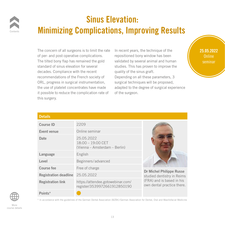

## Sinus Elevation: Minimizing Complications, Improving Results

The concern of all surgeons is to limit the rate of per- and post-operative complications. The tilted bony flap has remained the gold standard of sinus elevation for several decades. Compliance with the recent recommendations of the French society of ORL, progress in surgical instrumentation, the use of platelet concentrates have made it possible to reduce the complication rate of this surgery. studies.<br>quality of<br>ty of Dependi<br>ation, surgical t France adapted to<br> **ONLY 10**<br> **ONLY 10**<br> **ONLY 10**<br> **ONLY 10**<br> **ONLY 10**<br> **ONLY 10**<br> **ONLY 10**<br> **ONLY 10**<br> **ONLY 10**<br> **ONLY 10**<br> **ONLY 10**<br> **ONLY 10**<br> **ONLY 10**<br> **ONLY 10**<br> **ONLY 10**<br> **ONLY 10**<br> **ONLY 10**<br> **ONLY 10**<br> **ONLY** 

<span id="page-12-0"></span>In recent years, the technique of the repositioned bony window has been validated by several animal and human studies. This has proven to improve the quality of the sinus graft. Depending on all these parameters, 3 surgical techniques will be proposed, adapted to the degree of surgical experience of the surgeon. **INTERNAL SHOW SHOW SHOWS SET ON SHOW SHOWSON SERVING SHOW SHOWS SHOW SHOWS SHOWS SHOWS SHOWS SHOWS SHOWS SHOWS SHOWS SHOWS SHOWS SHOWS SHOWS SHOWS SHOWS SHOWS SHOWS SHOWS SHOWS SHOWS SHOWS SHOWS SHOWS SHOWS SHOWS SHOWS SH** 

25.05.2022 Online seminar

#### **Details**

| <b>Course ID</b>             | 2209                                                               |                                                               |  |
|------------------------------|--------------------------------------------------------------------|---------------------------------------------------------------|--|
| Event venue                  | Online seminar                                                     |                                                               |  |
| <b>Date</b>                  | 25.05.2022<br>$18:00 - 19:00$ CET<br>(Vienna – Amsterdam – Berlin) |                                                               |  |
| Language                     | English                                                            |                                                               |  |
| Level                        | Beginners/advanced                                                 |                                                               |  |
| <b>Course fee</b>            | Free of charge                                                     |                                                               |  |
| <b>Registration deadline</b> | 25.05.2022                                                         | <b>Dr Michel Philippe Russe</b><br>studied dentistry in Reims |  |
| <b>Registration link</b>     | https://attendee.gotowebinar.com/<br>register/3539972661912850190  | (FRA) and is based in his<br>own dental practice there.       |  |
| Points*                      |                                                                    |                                                               |  |



More course details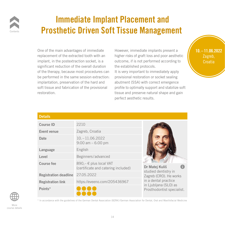

#### Immediate Implant Placement and Prosthetic Driven Soft Tissue Management

One of the main advantages of immediate replacement of the extracted tooth with an implant, in the postextraction socket, is a significant reduction of the overall duration of the therapy, because most procedures can be performed in the same session extraction: implantation, preservation of the hard and soft tissue and fabrication of the provisional restoration. ration the estak<br>**Interaction**: It is very<br>Interaction: provision<br>I and abutmen

<span id="page-13-0"></span>However, immediate implants present a higher risks of graft loss and poor aesthetic outcome, if is not performed according to the established protocols. ages of immediate **INTERNAL HOWEVER, immediate implant**<br>Interval acted tooth with an implane is higher risks of graft loss and partners

> It is very important to immediately apply provisional restoration or socket sealing abutment (SSA) with correct emergence profile to optimally support and stabilize soft tissue and preserve natural shape and gain perfect aesthetic results. browned provided provided the detail of the detail perfect as and perfect as a set of the detail of the detail of the detail of the detail of the detail of the detail of the detail of the detail of the detail of the detail



#### **Details**

| <b>Course ID</b>                 | 2210                                                          |                                                |
|----------------------------------|---------------------------------------------------------------|------------------------------------------------|
| Event venue                      | Zagreb, Croatia                                               |                                                |
| <b>Date</b>                      | $10, -11, 06, 2022$<br>$9:00$ am $-6:00$ pm                   |                                                |
| Language                         | English                                                       |                                                |
| Level                            | Beginners/advanced                                            |                                                |
| <b>Course fee</b>                | 890,- € plus local VAT<br>(certificate and catering included) | Dr Matej Kuliš                                 |
| Registration deadline 27.05.2022 |                                                               | studied dentistry in<br>Zagreb (CRO). He works |
| <b>Registration link</b>         | https://eveeno.com/205436967                                  | in a dental practice<br>in Ljubljana (SLO) as  |
| Points*                          |                                                               | Prosthodontist specialist.                     |



More course details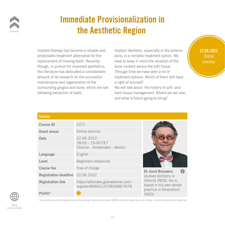

### <span id="page-14-0"></span>Immediate Provisionalization in the Aesthetic Region

Implant therapy has become a reliable and predictable treatment alternative for the replacement of missing teeth. Recently though, in pursuit for improved aesthetics, the literature has dedicated a considerable amount of its research on the successful maintenance and regeneration of the surrounding gingiva and bone, which are lost following extraction of teeth.

Implant dentistry, especially in the anterior zone, is a complex treatment option. We have to keep in mind the situation of the bone content versus the soft tissue. Through time we have seen a lot of treatment options. Which of them still have a right of survival? Frame a reliable and<br>Internative for the **Internal Internal** *Internative* for the *Internative*<br>Internal *Internal Leon in mind the* a etics, bone corner<br>
use Through<br>
ful treatment<br>
a right of

We will talk about the history of soft- and hard tissue management. Where are we now, and what is future going to bring? Figure lost we will talk<br>hard tissue<br>and what is

22.06.2022 Online seminar

| <b>Course ID</b><br>Event venue | 2211<br>Online seminar                                             |                                                 |
|---------------------------------|--------------------------------------------------------------------|-------------------------------------------------|
| <b>Date</b>                     | 22.06.2022<br>$18:00 - 19:00$ CET<br>(Vienna – Amsterdam – Berlin) |                                                 |
| Language                        | English                                                            |                                                 |
| Level                           | Beginners/advanced                                                 |                                                 |
| <b>Course fee</b>               | Free of charge                                                     | <b>Dr Joost Brouwers</b>                        |
| <b>Registration deadline</b>    | 22.06.2022                                                         | studied dentistry in                            |
| <b>Registration link</b>        | https://attendee.gotowebinar.com/<br>register/8966212078568817678  | Utrecht (NED). He is<br>based in his own dental |
| Points*                         |                                                                    | practice in Amersfoort<br>$(NED)$ .             |

\* In accordance with the guidelines of the German Dental Association (BZÄK)/German Association for Dental, Oral and Maxillofacial Medicine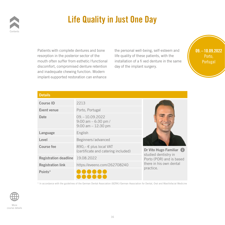

# <span id="page-15-0"></span>Life Quality in Just One Day

Patients with complete dentures and bone resorption in the posterior sector of the mouth often suffer from esthetic/functional discomfort, compromised denture retention and inadequate chewing function. Modern implant-supported restoration can enhance ention day of th<br>dern<br>hance

the personal well-being, self-esteem and life quality of these patients, with the installation of a fi xed denture in the same day of the implant surgery. dentures and bone the personal well-being, so<br>ior sector of the life quality of these patients

09. – 10.09.2022 Porto, Portugal

#### **Details**

| <b>Details</b>               |                                                                     |                                                 |
|------------------------------|---------------------------------------------------------------------|-------------------------------------------------|
| <b>Course ID</b>             | 2213                                                                |                                                 |
| Event venue                  | Porto, Portugal                                                     |                                                 |
| <b>Date</b>                  | $09. - 10.09.2022$<br>9:00 am $-6:30$ pm /<br>$9:00$ am $-12:30$ pm |                                                 |
| Language                     | English                                                             |                                                 |
| Level                        | Beginners/advanced                                                  |                                                 |
| <b>Course fee</b>            | 890,- € plus local VAT<br>(certificate and catering included)       | Dr Vito Hugo Familiar (                         |
| <b>Registration deadline</b> | 19.08.2022                                                          | studied dentistry in<br>Porto (POR) and is base |
| <b>Registration link</b>     | https://eveeno.com/262708240                                        | there in his own dental                         |
| Points*                      |                                                                     | practice.                                       |

Porto (POR) and is based

\* In accordance with the guidelines of the German Dental Association (BZÄK)/German Association for Dental, Oral and Maxillofacial Medicine

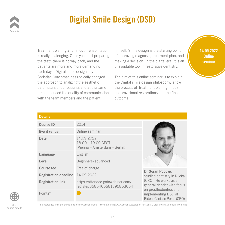

# <span id="page-16-0"></span>Digital Smile Design (DSD)

Treatment planing a full mouth rehabilitation is really chalenging. Once you start preparing the teeth there is no way back, and the patients are more and more demanding each day. "Digital smile design" by Christian Coachman has radically changed the approach to analizing the aesthetic parameters of our patients and at the same time enhanced the quality of communication with the team members and the patient ng unavoida<br> **USE**<br> **USE**<br> **USE**<br> **USE**<br> **USE**<br> **USE**<br> **USE**<br> **USE**<br> **USE**<br> **USE**<br> **USE**<br> **USE**<br> **USE**<br> **USE**<br> **USE** Figure the process<br>
unication up, provision<br>
tient outcome.

himself. Smile design is the starting point of improving diagnosis, treatment plan, and making a decision. In the digital era, it is an unavoidable tool in restorative dentistry. I mouth rehabilitation himself. Smile design is th<br>ce you start preparing of improving diagnosis, tre

> The aim of this online seminar is to explain the Digital smile design philosophy, show the process of treatment planing, mock up, provisional restorations and the final outcome.

14.09.2022 Online seminar

| <b>Course ID</b>             | 2214                                                              |                                                                             |
|------------------------------|-------------------------------------------------------------------|-----------------------------------------------------------------------------|
| Event venue                  | Online seminar                                                    |                                                                             |
| <b>Date</b>                  | 14.09.2022<br>18:00 - 19:00 CEST<br>(Vienna – Amsterdam – Berlin) |                                                                             |
| Language                     | English                                                           |                                                                             |
| Level                        | Beginners/advanced                                                |                                                                             |
| <b>Course fee</b>            | Free of charge                                                    |                                                                             |
| <b>Registration deadline</b> | 14.09.2022                                                        | Dr Goran Popović<br>studied dentistry in Rijeka                             |
| <b>Registration link</b>     | https://attendee.gotowebinar.com/<br>register/3585406681395863054 | (CRO). He works as a<br>general dentist with focus<br>on prosthodontics and |
| Points*                      |                                                                   | implementing DSD at<br>Rident Clinic in Porec (CRO).                        |



More course details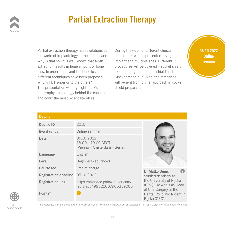

### <span id="page-17-0"></span>Partial Extraction Therapy

Partial extraction therapy has revolutionized the world of implantology in the last decade. Why is that so? It is well known that tooth extraction results in huge amount of bone loss. In order to prevent the bone loss, different techniques have been proposed. Why is PET superior to the others? This presentation will highlight the PET philosophy, the biology behind the concept and cover the most recent literature. PET Sined prep.<br> **Concept**<br> **Sined prep.** 

During the webinar different clinical approaches will be presented – single implant and multiple sites. Different PET procedures will be covered – socket shield, root submergence, pontic shield and Glocker technique. Also, the attendees will benefit from digital approach in socket shield preparation. py has revolutionized Lating the webinar differe<br>Internal approaches will be present<br>I known that tooth Limplant and multiple sites oone procedur<br>**u**sed. Glocker t<br>**Will bene** 



#### **Details**

| <b>Course ID</b>                 | 2215                                                              |                                                                        |  |
|----------------------------------|-------------------------------------------------------------------|------------------------------------------------------------------------|--|
| Event venue                      | Online seminar                                                    |                                                                        |  |
| <b>Date</b>                      | 05.10.2022<br>18:00 - 19:00 CEST<br>(Vienna – Amsterdam – Berlin) |                                                                        |  |
| Language                         | English                                                           |                                                                        |  |
| Level                            | Beginners/advanced                                                |                                                                        |  |
| <b>Course fee</b>                | Free of charge                                                    | Dr Matko Oguić                                                         |  |
| Registration deadline 05.10.2022 |                                                                   | studied dentistry at                                                   |  |
| <b>Registration link</b>         | https://attendee.gotowebinar.com/<br>register/7499822007906339086 | the University of Rijeka<br>(CRO). He works as Head                    |  |
| Points*                          |                                                                   | of Oral Surgery at the<br>Dental Policlinic Rident in<br>Rijeka (CRO). |  |

More course details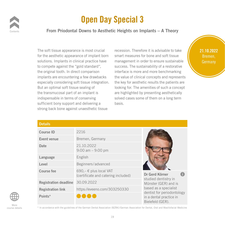

### <span id="page-18-0"></span>Open Day Special 3

#### From Priodontal Downs to Aesthetic Heights on Implants – A Theory

The soft tissue appearance is most crucial for the aesthetic appearance of implant born solutions. Implants in clinical practice have to compete against the "gold standard", the original tooth. In direct comparison implants are encountering a few drawbacks especially considering soft tissue integration. But an optimal soft tissue sealing of the transmucosal part of an implant is indispensable in terms of conserving sufficient bony support and delivering a strong back bone against unaesthetic tissue

recession. Therefore it is advisable to take smart measures for bone and soft tissue management in order to ensure sustainable success. The sustainability of a restorative interface is more and more benchmarking the value of clinical concepts and represents the key for aesthetic results the patients are looking for. The amenities of such a concept are highlighted by presenting aesthetically solved cases some of them on a long term basis. Ince is most crucial recession. Therefore it is a<br>**Interval property** from the smart measures for bone a<br>**Inical proptice boys** represented in order to a <sup>1"</sup>, success.<br>
interface<br>
backs the value<br>
gration. the key f France Cooking for.<br> **COOKING TO SET AND SOLUCE AND**<br> **COOKING** SOLUCE SAGE<br> **COOKING** TO SAGE<br> **COOKING** TO SAGE<br> **COOKING** TO SAGE<br> **COOKING** TO SAGE



| <b>Details</b>               |                                                                 |                                                                           |
|------------------------------|-----------------------------------------------------------------|---------------------------------------------------------------------------|
| <b>Course ID</b>             | 2216                                                            |                                                                           |
| Event venue                  | Bremen, Germany                                                 |                                                                           |
| Date                         | 21.10.2022<br>$9:00$ am $-9:00$ pm                              |                                                                           |
| Language                     | English                                                         |                                                                           |
| Level                        | Beginners/advanced                                              |                                                                           |
| <b>Course fee</b>            | 690, $-€$ plus local VAT<br>(certificate and catering included) | Dr Gerd Körner                                                            |
| <b>Registration deadline</b> | 30.09.2022                                                      | studied dentistry in<br>Münster (GER) and is                              |
| <b>Registration link</b>     | https://eveeno.com/303250330                                    | based as a specialist                                                     |
| Points*                      |                                                                 | dentist for periodontology<br>in a dental practice in<br>Bielefeld (GER). |



More course details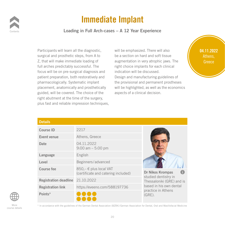

#### <span id="page-19-0"></span>Immediate Implant

Loading in Full Arch-cases – A 12 Year Experience

Participants will learn all the diagnostic, surgical and prosthetic steps, from A to Z, that will make immediate loading of full arches predictably successful. The focus will be on pre-surgical diagnosis and patient preparation, both restoratively and pharmacologically. Systematic implant placement, anatomically and prosthetically guided, will be covered. The choice of the right abutment at the time of the surgery, plus fast and reliable impression techniques, Finally will be fight<br>of the aspects of a<br>urgery,<br>chniques,

will be emphasized. There will also be a section on hard and soft tissue augmentation in very atrophic jaws. The right choice implants for each clinical indication will be discussed. Design and manufacturing guidelines of the provisional and permanent prostheses will be highlighted, as well as the economics aspects of a clinical decision. Il the diagnostic, will be emphasized. There<br>steps, from A to be a section on hard and s e right cho<br>**Example 15 and 16 and 25 and**<br>the provi



| <b>Details</b>                   |                                                               |                                                   |
|----------------------------------|---------------------------------------------------------------|---------------------------------------------------|
| <b>Course ID</b>                 | 2217                                                          |                                                   |
| Event venue                      | Athens, Greece                                                |                                                   |
| <b>Date</b>                      | 04.11.2022<br>$9:00$ am $-5:00$ pm                            |                                                   |
| Language                         | English                                                       |                                                   |
| Level                            | Beginners/advanced                                            |                                                   |
| <b>Course fee</b>                | 850,- € plus local VAT<br>(certificate and catering included) | Dr Nikos Krompas<br>Œ                             |
| Registration deadline 21.10.2022 |                                                               | studied dentistry in<br>Thessaloniki (GRE) and is |
| <b>Registration link</b>         | https://eveeno.com/588197736                                  | based in his own dental<br>practice in Athens     |
| Points*                          |                                                               | $(GRE)$ .                                         |



More course details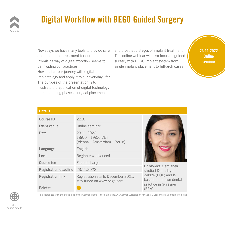

# <span id="page-20-0"></span>Digital Workflow with BEGO Guided Surgery

Nowadays we have many tools to provide safe and predictable treatment for our patients. Promising way of digital workflow seems to be invading our practices. How to start our journey with digital implantology and apply it to our everyday life? The purpose of the presentation is to illustrate the application of digital technology in the planning phases, surgical placement single im<br>day life?<br>**Washing CONCOCALCERT**<br> **ONLY**<br> **ONLY**<br> **ONLY**<br> **ONLY**<br> **ONLY**<br> **ONLY**<br> **ONLY** 

and prosthetic stages of implant treatment. This online webinar will also focus on guided surgery with BEGO implant system from single implant placement to full-arch cases. In tools to provide safe and prosthetic stages of in<br> **Interval of the Set of the Set of the Set of the United Set of the United Set of the United Set of the United**<br> **Interferies the Constant Set of the United Set of the** 

23.11.2022 Online seminar

| <b>Details</b>                   |                                                                    |                                                |
|----------------------------------|--------------------------------------------------------------------|------------------------------------------------|
| <b>Course ID</b>                 | 2218                                                               |                                                |
| Event venue                      | Online seminar                                                     |                                                |
| Date                             | 23.11.2022<br>$18:00 - 19:00$ CET<br>(Vienna – Amsterdam – Berlin) |                                                |
| Language                         | English                                                            |                                                |
| Level                            | Beginners/advanced                                                 |                                                |
| <b>Course fee</b>                | Free of charge                                                     | Dr Monika Ziemianek                            |
| Registration deadline 23.11.2022 |                                                                    | studied Dentistry in                           |
| <b>Registration link</b>         | Registration starts December 2021,<br>stay tuned on www.bego.com   | Zabrze (POL) and is<br>based in her own dental |
| Points*                          |                                                                    | practice in Suresnes<br>$(FRA)$ .              |



\* In accordance with the guidelines of the German Dental Association (BZÄK)/German Association for Dental, Oral and Maxillofacial Medicine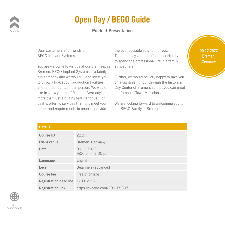

### Open Day / BEGO Guide

#### <span id="page-21-0"></span>Product Presentation

Dear customers and friends of BEGO Implant Systems,

You are welcome to visit us at our premises in Bremen. BEGO Implant Systems is a familyrun company and we would like to invite you to throw a look at our production facilities and to meet our teams in person. We would like to show you that "Made in Germany" is more than just a quality feature for us. For us it is offering services that fully meet your needs and requirements in order to provide mises in atmosph<br>family-<br>ite you Further,<br>ities on a sigh **Provident City Center**<br> **ONLY** is **COMPTE ONLY**<br> **ONLY ONLY ONLY COMPTE ONLY**<br> **ONLY COMPTE ONLY COMPTE ONLY COMPTE ONLY COMPTE ONLY COMPTE ONLY** 

the best possible solution for you. The open days are a perfect opportunity to spend the professional life in a family atmosphere. Primary of the best possible solution<br> **Integral of the set of the set of the professional**<br> **Integral the professional** 

> Further, we would be very happy to take you on a sightseeing tour through the historical City Center of Bremen, so that you can meet our famous "Town Musicians".

We are looking forward to welcoming you to our BEGO Family in Bremen!

09.12.2022 Bremen, Germany

| <b>Details</b>                   |                                    |
|----------------------------------|------------------------------------|
| <b>Course ID</b>                 | 2219                               |
| Event venue                      | Bremen, Germany                    |
| <b>Date</b>                      | 09.12.2022<br>$9:00$ am $-9:00$ pm |
| Language                         | English                            |
| Level                            | Beginners/advanced                 |
| <b>Course fee</b>                | Free of charge                     |
| Registration deadline 17.11.2022 |                                    |
| <b>Registration link</b>         | https://eveeno.com/306169307       |